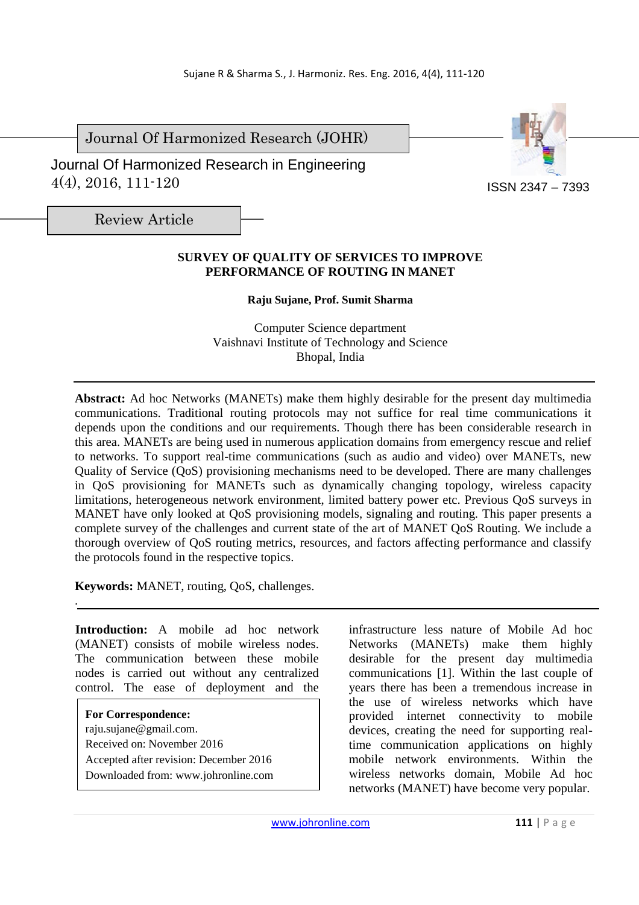Journal Of Harmonized Research (JOHR)

 Journal Of Harmonized Research in Engineering 4(4), 2016, 111-120



Review Article

# **SURVEY OF QUALITY OF SERVICES TO IMPROVE PERFORMANCE OF ROUTING IN MANET**

### **Raju Sujane, Prof. Sumit Sharma**

Computer Science department Vaishnavi Institute of Technology and Science Bhopal, India

**Abstract:** Ad hoc Networks (MANETs) make them highly desirable for the present day multimedia communications. Traditional routing protocols may not suffice for real time communications it depends upon the conditions and our requirements. Though there has been considerable research in this area. MANETs are being used in numerous application domains from emergency rescue and relief to networks. To support real-time communications (such as audio and video) over MANETs, new Quality of Service (QoS) provisioning mechanisms need to be developed. There are many challenges in QoS provisioning for MANETs such as dynamically changing topology, wireless capacity limitations, heterogeneous network environment, limited battery power etc. Previous QoS surveys in MANET have only looked at QoS provisioning models, signaling and routing. This paper presents a complete survey of the challenges and current state of the art of MANET QoS Routing. We include a thorough overview of QoS routing metrics, resources, and factors affecting performance and classify the protocols found in the respective topics.

**Keywords:** MANET, routing, QoS, challenges.

.

**Introduction:** A mobile ad hoc network (MANET) consists of mobile wireless nodes. The communication between these mobile nodes is carried out without any centralized control. The ease of deployment and the

**For Correspondence:**  raju.sujane@gmail.com. Received on: November 2016 Accepted after revision: December 2016 Downloaded from: www.johronline.com infrastructure less nature of Mobile Ad hoc Networks (MANETs) make them highly desirable for the present day multimedia communications [1]. Within the last couple of years there has been a tremendous increase in the use of wireless networks which have provided internet connectivity to mobile devices, creating the need for supporting realtime communication applications on highly mobile network environments. Within the wireless networks domain, Mobile Ad hoc networks (MANET) have become very popular.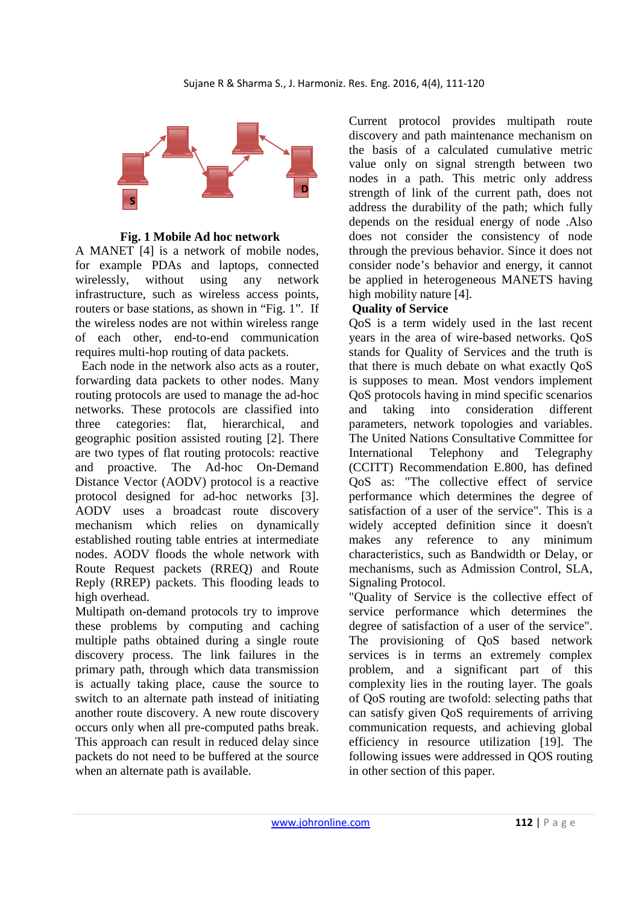

### **Fig. 1 Mobile Ad hoc network**

A MANET [4] is a network of mobile nodes, for example PDAs and laptops, connected wirelessly, without using any network infrastructure, such as wireless access points, routers or base stations, as shown in "Fig. 1". If the wireless nodes are not within wireless range of each other, end-to-end communication requires multi-hop routing of data packets.

 Each node in the network also acts as a router, forwarding data packets to other nodes. Many routing protocols are used to manage the ad-hoc networks. These protocols are classified into three categories: flat, hierarchical, and geographic position assisted routing [2]. There are two types of flat routing protocols: reactive and proactive. The Ad-hoc On-Demand Distance Vector (AODV) protocol is a reactive protocol designed for ad-hoc networks [3]. AODV uses a broadcast route discovery mechanism which relies on dynamically established routing table entries at intermediate nodes. AODV floods the whole network with Route Request packets (RREQ) and Route Reply (RREP) packets. This flooding leads to high overhead.

Multipath on-demand protocols try to improve these problems by computing and caching multiple paths obtained during a single route discovery process. The link failures in the primary path, through which data transmission is actually taking place, cause the source to switch to an alternate path instead of initiating another route discovery. A new route discovery occurs only when all pre-computed paths break. This approach can result in reduced delay since packets do not need to be buffered at the source when an alternate path is available.

Current protocol provides multipath route discovery and path maintenance mechanism on the basis of a calculated cumulative metric value only on signal strength between two nodes in a path. This metric only address strength of link of the current path, does not address the durability of the path; which fully depends on the residual energy of node .Also does not consider the consistency of node through the previous behavior. Since it does not consider node's behavior and energy, it cannot be applied in heterogeneous MANETS having high mobility nature [4].

# **Quality of Service**

QoS is a term widely used in the last recent years in the area of wire-based networks. QoS stands for Quality of Services and the truth is that there is much debate on what exactly QoS is supposes to mean. Most vendors implement QoS protocols having in mind specific scenarios and taking into consideration different parameters, network topologies and variables. The United Nations Consultative Committee for International Telephony and Telegraphy (CCITT) Recommendation E.800, has defined QoS as: "The collective effect of service performance which determines the degree of satisfaction of a user of the service". This is a widely accepted definition since it doesn't makes any reference to any minimum characteristics, such as Bandwidth or Delay, or mechanisms, such as Admission Control, SLA, Signaling Protocol.

"Quality of Service is the collective effect of service performance which determines the degree of satisfaction of a user of the service". The provisioning of QoS based network services is in terms an extremely complex problem, and a significant part of this complexity lies in the routing layer. The goals of QoS routing are twofold: selecting paths that can satisfy given QoS requirements of arriving communication requests, and achieving global efficiency in resource utilization [19]. The following issues were addressed in QOS routing in other section of this paper.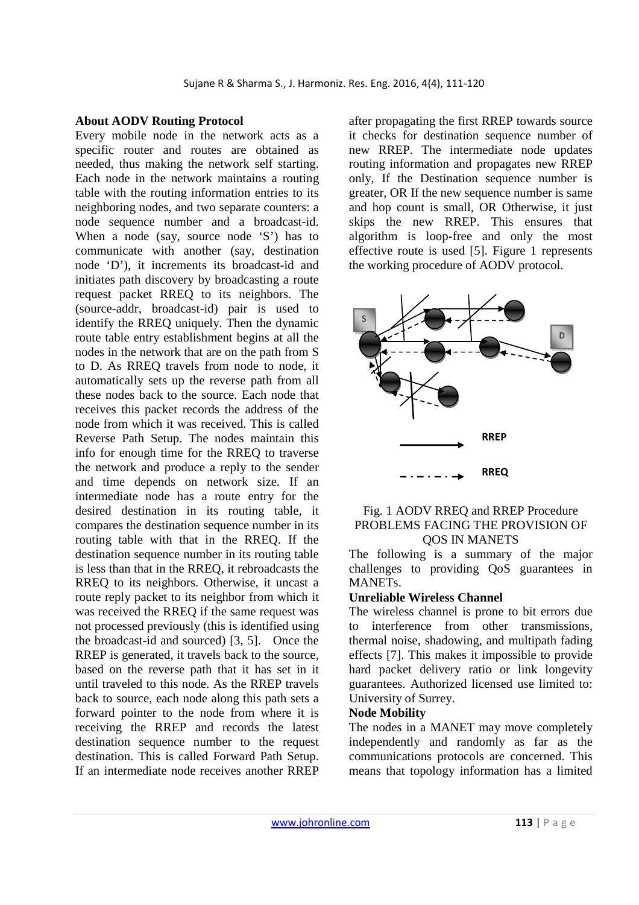### **About AODV Routing Protocol**

Every mobile node in the network acts as a specific router and routes are obtained as needed, thus making the network self starting. Each node in the network maintains a routing table with the routing information entries to its neighboring nodes, and two separate counters: a node sequence number and a broadcast-id. When a node (say, source node 'S') has to communicate with another (say, destination node 'D'), it increments its broadcast-id and initiates path discovery by broadcasting a route request packet RREQ to its neighbors. The (source-addr, broadcast-id) pair is used to identify the RREQ uniquely. Then the dynamic route table entry establishment begins at all the nodes in the network that are on the path from S to D. As RREQ travels from node to node, it automatically sets up the reverse path from all these nodes back to the source. Each node that receives this packet records the address of the node from which it was received. This is called Reverse Path Setup. The nodes maintain this info for enough time for the RREQ to traverse the network and produce a reply to the sender and time depends on network size. If an intermediate node has a route entry for the desired destination in its routing table, it compares the destination sequence number in its routing table with that in the RREQ. If the destination sequence number in its routing table is less than that in the RREQ, it rebroadcasts the RREQ to its neighbors. Otherwise, it uncast a route reply packet to its neighbor from which it was received the RREQ if the same request was not processed previously (this is identified using the broadcast-id and sourced) [3, 5]. Once the RREP is generated, it travels back to the source, based on the reverse path that it has set in it until traveled to this node. As the RREP travels back to source, each node along this path sets a forward pointer to the node from where it is receiving the RREP and records the latest destination sequence number to the request destination. This is called Forward Path Setup. If an intermediate node receives another RREP

after propagating the first RREP towards source it checks for destination sequence number of new RREP. The intermediate node updates routing information and propagates new RREP only, If the Destination sequence number is greater, OR If the new sequence number is same and hop count is small, OR Otherwise, it just skips the new RREP. This ensures that algorithm is loop-free and only the most effective route is used [5]. Figure 1 represents the working procedure of AODV protocol.



### Fig. 1 AODV RREQ and RREP Procedure PROBLEMS FACING THE PROVISION OF QOS IN MANETS

The following is a summary of the major challenges to providing QoS guarantees in MANETs.

### **Unreliable Wireless Channel**

The wireless channel is prone to bit errors due to interference from other transmissions, thermal noise, shadowing, and multipath fading effects [7]. This makes it impossible to provide hard packet delivery ratio or link longevity guarantees. Authorized licensed use limited to: University of Surrey.

### **Node Mobility**

The nodes in a MANET may move completely independently and randomly as far as the communications protocols are concerned. This means that topology information has a limited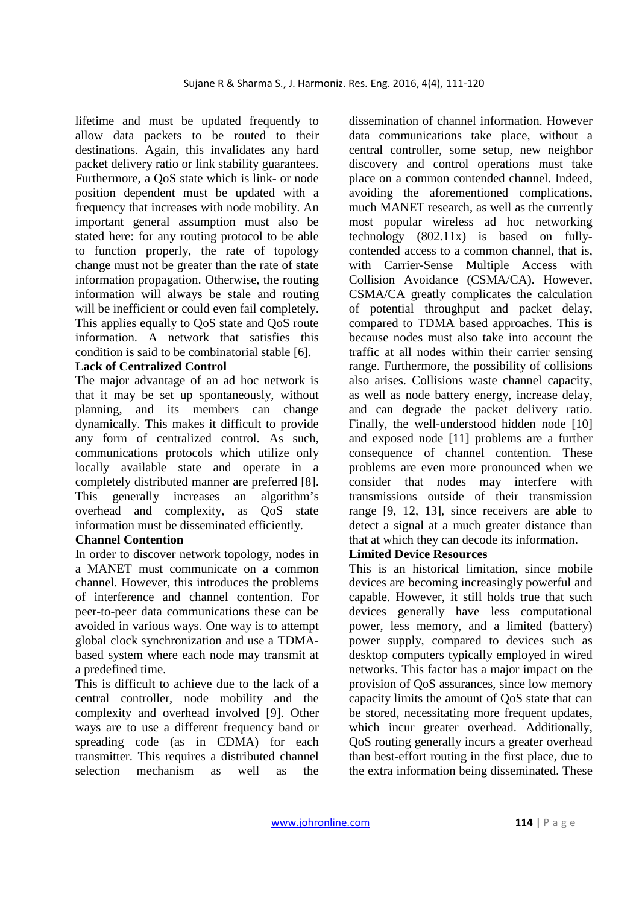lifetime and must be updated frequently to allow data packets to be routed to their destinations. Again, this invalidates any hard packet delivery ratio or link stability guarantees. Furthermore, a QoS state which is link- or node position dependent must be updated with a frequency that increases with node mobility. An important general assumption must also be stated here: for any routing protocol to be able to function properly, the rate of topology change must not be greater than the rate of state information propagation. Otherwise, the routing information will always be stale and routing will be inefficient or could even fail completely. This applies equally to QoS state and QoS route information. A network that satisfies this condition is said to be combinatorial stable [6].

### **Lack of Centralized Control**

The major advantage of an ad hoc network is that it may be set up spontaneously, without planning, and its members can change dynamically. This makes it difficult to provide any form of centralized control. As such, communications protocols which utilize only locally available state and operate in a completely distributed manner are preferred [8]. This generally increases an algorithm's overhead and complexity, as QoS state information must be disseminated efficiently.

# **Channel Contention**

In order to discover network topology, nodes in a MANET must communicate on a common channel. However, this introduces the problems of interference and channel contention. For peer-to-peer data communications these can be avoided in various ways. One way is to attempt global clock synchronization and use a TDMAbased system where each node may transmit at a predefined time.

This is difficult to achieve due to the lack of a central controller, node mobility and the complexity and overhead involved [9]. Other ways are to use a different frequency band or spreading code (as in CDMA) for each transmitter. This requires a distributed channel selection mechanism as well as the

dissemination of channel information. However data communications take place, without a central controller, some setup, new neighbor discovery and control operations must take place on a common contended channel. Indeed, avoiding the aforementioned complications, much MANET research, as well as the currently most popular wireless ad hoc networking technology (802.11x) is based on fullycontended access to a common channel, that is, with Carrier-Sense Multiple Access with Collision Avoidance (CSMA/CA). However, CSMA/CA greatly complicates the calculation of potential throughput and packet delay, compared to TDMA based approaches. This is because nodes must also take into account the traffic at all nodes within their carrier sensing range. Furthermore, the possibility of collisions also arises. Collisions waste channel capacity, as well as node battery energy, increase delay, and can degrade the packet delivery ratio. Finally, the well-understood hidden node [10] and exposed node [11] problems are a further consequence of channel contention. These problems are even more pronounced when we consider that nodes may interfere with transmissions outside of their transmission range [9, 12, 13], since receivers are able to detect a signal at a much greater distance than that at which they can decode its information.

### **Limited Device Resources**

This is an historical limitation, since mobile devices are becoming increasingly powerful and capable. However, it still holds true that such devices generally have less computational power, less memory, and a limited (battery) power supply, compared to devices such as desktop computers typically employed in wired networks. This factor has a major impact on the provision of QoS assurances, since low memory capacity limits the amount of QoS state that can be stored, necessitating more frequent updates, which incur greater overhead. Additionally, QoS routing generally incurs a greater overhead than best-effort routing in the first place, due to the extra information being disseminated. These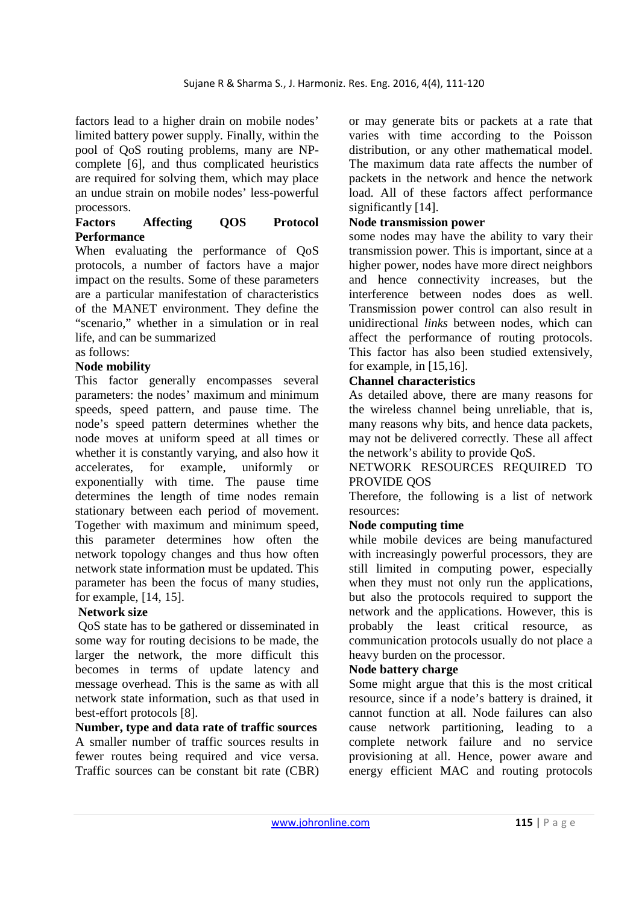factors lead to a higher drain on mobile nodes' limited battery power supply. Finally, within the pool of QoS routing problems, many are NPcomplete [6], and thus complicated heuristics are required for solving them, which may place an undue strain on mobile nodes' less-powerful processors.

### **Factors Affecting QOS Protocol Performance**

When evaluating the performance of QoS protocols, a number of factors have a major impact on the results. Some of these parameters are a particular manifestation of characteristics of the MANET environment. They define the "scenario," whether in a simulation or in real life, and can be summarized

# as follows:

# **Node mobility**

This factor generally encompasses several parameters: the nodes' maximum and minimum speeds, speed pattern, and pause time. The node's speed pattern determines whether the node moves at uniform speed at all times or whether it is constantly varying, and also how it accelerates, for example, uniformly or exponentially with time. The pause time determines the length of time nodes remain stationary between each period of movement. Together with maximum and minimum speed, this parameter determines how often the network topology changes and thus how often network state information must be updated. This parameter has been the focus of many studies, for example, [14, 15].

### **Network size**

 QoS state has to be gathered or disseminated in some way for routing decisions to be made, the larger the network, the more difficult this becomes in terms of update latency and message overhead. This is the same as with all network state information, such as that used in best-effort protocols [8].

**Number, type and data rate of traffic sources**  A smaller number of traffic sources results in fewer routes being required and vice versa. Traffic sources can be constant bit rate (CBR) or may generate bits or packets at a rate that varies with time according to the Poisson distribution, or any other mathematical model. The maximum data rate affects the number of packets in the network and hence the network load. All of these factors affect performance significantly [14].

### **Node transmission power**

some nodes may have the ability to vary their transmission power. This is important, since at a higher power, nodes have more direct neighbors and hence connectivity increases, but the interference between nodes does as well. Transmission power control can also result in unidirectional *links* between nodes, which can affect the performance of routing protocols. This factor has also been studied extensively, for example, in  $[15,16]$ .

### **Channel characteristics**

As detailed above, there are many reasons for the wireless channel being unreliable, that is, many reasons why bits, and hence data packets, may not be delivered correctly. These all affect the network's ability to provide QoS.

## NETWORK RESOURCES REQUIRED TO PROVIDE OOS

Therefore, the following is a list of network resources:

### **Node computing time**

while mobile devices are being manufactured with increasingly powerful processors, they are still limited in computing power, especially when they must not only run the applications, but also the protocols required to support the network and the applications. However, this is probably the least critical resource, as communication protocols usually do not place a heavy burden on the processor.

### **Node battery charge**

Some might argue that this is the most critical resource, since if a node's battery is drained, it cannot function at all. Node failures can also cause network partitioning, leading to a complete network failure and no service provisioning at all. Hence, power aware and energy efficient MAC and routing protocols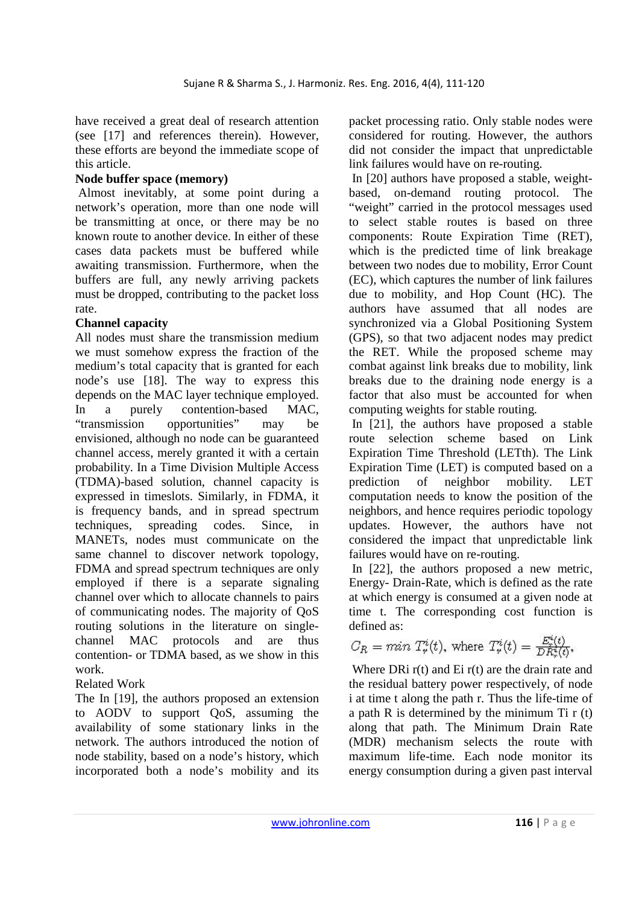have received a great deal of research attention (see [17] and references therein). However, these efforts are beyond the immediate scope of this article.

# **Node buffer space (memory)**

 Almost inevitably, at some point during a network's operation, more than one node will be transmitting at once, or there may be no known route to another device. In either of these cases data packets must be buffered while awaiting transmission. Furthermore, when the buffers are full, any newly arriving packets must be dropped, contributing to the packet loss rate.

# **Channel capacity**

All nodes must share the transmission medium we must somehow express the fraction of the medium's total capacity that is granted for each node's use [18]. The way to express this depends on the MAC layer technique employed. In a purely contention-based MAC, "transmission opportunities" may be envisioned, although no node can be guaranteed channel access, merely granted it with a certain probability. In a Time Division Multiple Access (TDMA)-based solution, channel capacity is expressed in timeslots. Similarly, in FDMA, it is frequency bands, and in spread spectrum techniques, spreading codes. Since, in MANETs, nodes must communicate on the same channel to discover network topology, FDMA and spread spectrum techniques are only employed if there is a separate signaling channel over which to allocate channels to pairs of communicating nodes. The majority of QoS routing solutions in the literature on singlechannel MAC protocols and are thus contention- or TDMA based, as we show in this work.

# Related Work

The In [19], the authors proposed an extension to AODV to support QoS, assuming the availability of some stationary links in the network. The authors introduced the notion of node stability, based on a node's history, which incorporated both a node's mobility and its

packet processing ratio. Only stable nodes were considered for routing. However, the authors did not consider the impact that unpredictable link failures would have on re-routing.

 In [20] authors have proposed a stable, weightbased, on-demand routing protocol. The "weight" carried in the protocol messages used to select stable routes is based on three components: Route Expiration Time (RET), which is the predicted time of link breakage between two nodes due to mobility, Error Count (EC), which captures the number of link failures due to mobility, and Hop Count (HC). The authors have assumed that all nodes are synchronized via a Global Positioning System (GPS), so that two adjacent nodes may predict the RET. While the proposed scheme may combat against link breaks due to mobility, link breaks due to the draining node energy is a factor that also must be accounted for when computing weights for stable routing.

 In [21], the authors have proposed a stable route selection scheme based on Link Expiration Time Threshold (LETth). The Link Expiration Time (LET) is computed based on a prediction of neighbor mobility. LET computation needs to know the position of the neighbors, and hence requires periodic topology updates. However, the authors have not considered the impact that unpredictable link failures would have on re-routing.

 In [22], the authors proposed a new metric, Energy- Drain-Rate, which is defined as the rate at which energy is consumed at a given node at time t. The corresponding cost function is defined as:

$$
C_R = \min \, T^i_{\tau}(t), \text{ where } T^i_{\tau}(t) = \frac{E^i_{\tau}(t)}{D \tilde{R}^i_{\tau}(t)},
$$

Where DRi r(t) and Ei r(t) are the drain rate and the residual battery power respectively, of node i at time t along the path r. Thus the life-time of a path R is determined by the minimum Ti r (t) along that path. The Minimum Drain Rate (MDR) mechanism selects the route with maximum life-time. Each node monitor its energy consumption during a given past interval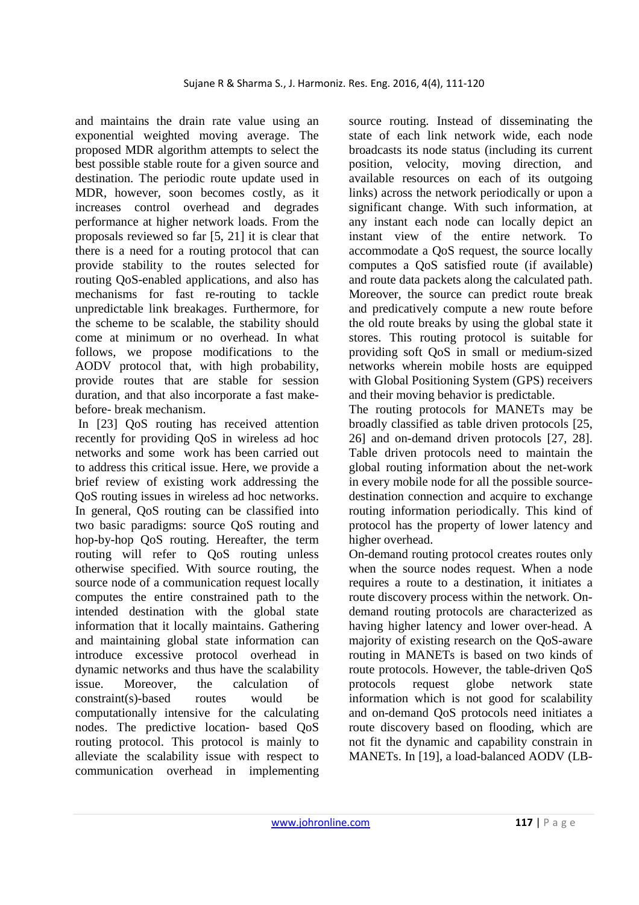and maintains the drain rate value using an exponential weighted moving average. The proposed MDR algorithm attempts to select the best possible stable route for a given source and destination. The periodic route update used in MDR, however, soon becomes costly, as it increases control overhead and degrades performance at higher network loads. From the proposals reviewed so far [5, 21] it is clear that there is a need for a routing protocol that can provide stability to the routes selected for routing QoS-enabled applications, and also has mechanisms for fast re-routing to tackle unpredictable link breakages. Furthermore, for the scheme to be scalable, the stability should come at minimum or no overhead. In what follows, we propose modifications to the AODV protocol that, with high probability, provide routes that are stable for session duration, and that also incorporate a fast makebefore- break mechanism.

 In [23] QoS routing has received attention recently for providing QoS in wireless ad hoc networks and some work has been carried out to address this critical issue. Here, we provide a brief review of existing work addressing the QoS routing issues in wireless ad hoc networks. In general, QoS routing can be classified into two basic paradigms: source QoS routing and hop-by-hop QoS routing. Hereafter, the term routing will refer to QoS routing unless otherwise specified. With source routing, the source node of a communication request locally computes the entire constrained path to the intended destination with the global state information that it locally maintains. Gathering and maintaining global state information can introduce excessive protocol overhead in dynamic networks and thus have the scalability issue. Moreover, the calculation of constraint(s)-based routes would be computationally intensive for the calculating nodes. The predictive location- based QoS routing protocol. This protocol is mainly to alleviate the scalability issue with respect to communication overhead in implementing source routing. Instead of disseminating the state of each link network wide, each node broadcasts its node status (including its current position, velocity, moving direction, and available resources on each of its outgoing links) across the network periodically or upon a significant change. With such information, at any instant each node can locally depict an instant view of the entire network. To accommodate a QoS request, the source locally computes a QoS satisfied route (if available) and route data packets along the calculated path. Moreover, the source can predict route break and predicatively compute a new route before the old route breaks by using the global state it stores. This routing protocol is suitable for providing soft QoS in small or medium-sized networks wherein mobile hosts are equipped with Global Positioning System (GPS) receivers and their moving behavior is predictable.

The routing protocols for MANETs may be broadly classified as table driven protocols [25, 26] and on-demand driven protocols [27, 28]. Table driven protocols need to maintain the global routing information about the net-work in every mobile node for all the possible sourcedestination connection and acquire to exchange routing information periodically. This kind of protocol has the property of lower latency and higher overhead.

On-demand routing protocol creates routes only when the source nodes request. When a node requires a route to a destination, it initiates a route discovery process within the network. Ondemand routing protocols are characterized as having higher latency and lower over-head. A majority of existing research on the QoS-aware routing in MANETs is based on two kinds of route protocols. However, the table-driven QoS protocols request globe network state information which is not good for scalability and on-demand QoS protocols need initiates a route discovery based on flooding, which are not fit the dynamic and capability constrain in MANETs. In [19], a load-balanced AODV (LB-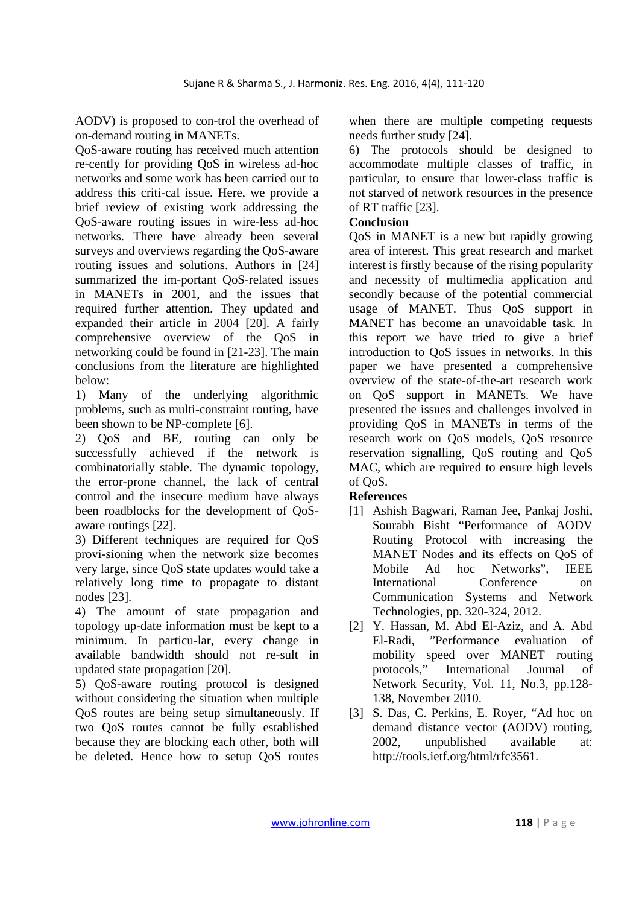AODV) is proposed to con-trol the overhead of on-demand routing in MANETs.

QoS-aware routing has received much attention re-cently for providing QoS in wireless ad-hoc networks and some work has been carried out to address this criti-cal issue. Here, we provide a brief review of existing work addressing the QoS-aware routing issues in wire-less ad-hoc networks. There have already been several surveys and overviews regarding the QoS-aware routing issues and solutions. Authors in [24] summarized the im-portant QoS-related issues in MANETs in 2001, and the issues that required further attention. They updated and expanded their article in 2004 [20]. A fairly comprehensive overview of the QoS in networking could be found in [21-23]. The main conclusions from the literature are highlighted below:

1) Many of the underlying algorithmic problems, such as multi-constraint routing, have been shown to be NP-complete [6].

2) QoS and BE, routing can only be successfully achieved if the network is combinatorially stable. The dynamic topology, the error-prone channel, the lack of central control and the insecure medium have always been roadblocks for the development of QoSaware routings [22].

3) Different techniques are required for QoS provi-sioning when the network size becomes very large, since QoS state updates would take a relatively long time to propagate to distant nodes [23].

4) The amount of state propagation and topology up-date information must be kept to a minimum. In particu-lar, every change in available bandwidth should not re-sult in updated state propagation [20].

5) QoS-aware routing protocol is designed without considering the situation when multiple QoS routes are being setup simultaneously. If two QoS routes cannot be fully established because they are blocking each other, both will be deleted. Hence how to setup QoS routes

when there are multiple competing requests needs further study [24].

6) The protocols should be designed to accommodate multiple classes of traffic, in particular, to ensure that lower-class traffic is not starved of network resources in the presence of RT traffic [23].

# **Conclusion**

QoS in MANET is a new but rapidly growing area of interest. This great research and market interest is firstly because of the rising popularity and necessity of multimedia application and secondly because of the potential commercial usage of MANET. Thus QoS support in MANET has become an unavoidable task. In this report we have tried to give a brief introduction to QoS issues in networks. In this paper we have presented a comprehensive overview of the state-of-the-art research work on QoS support in MANETs. We have presented the issues and challenges involved in providing QoS in MANETs in terms of the research work on QoS models, QoS resource reservation signalling, QoS routing and QoS MAC, which are required to ensure high levels of QoS.

# **References**

- [1] Ashish Bagwari, Raman Jee, Pankaj Joshi, Sourabh Bisht "Performance of AODV Routing Protocol with increasing the MANET Nodes and its effects on QoS of Mobile Ad hoc Networks", IEEE International Conference on Communication Systems and Network Technologies, pp. 320-324, 2012.
- [2] Y. Hassan, M. Abd El-Aziz, and A. Abd El-Radi, "Performance evaluation of mobility speed over MANET routing protocols," International Journal of Network Security, Vol. 11, No.3, pp.128- 138, November 2010.
- [3] S. Das, C. Perkins, E. Royer, "Ad hoc on demand distance vector (AODV) routing, 2002, unpublished available at: http://tools.ietf.org/html/rfc3561.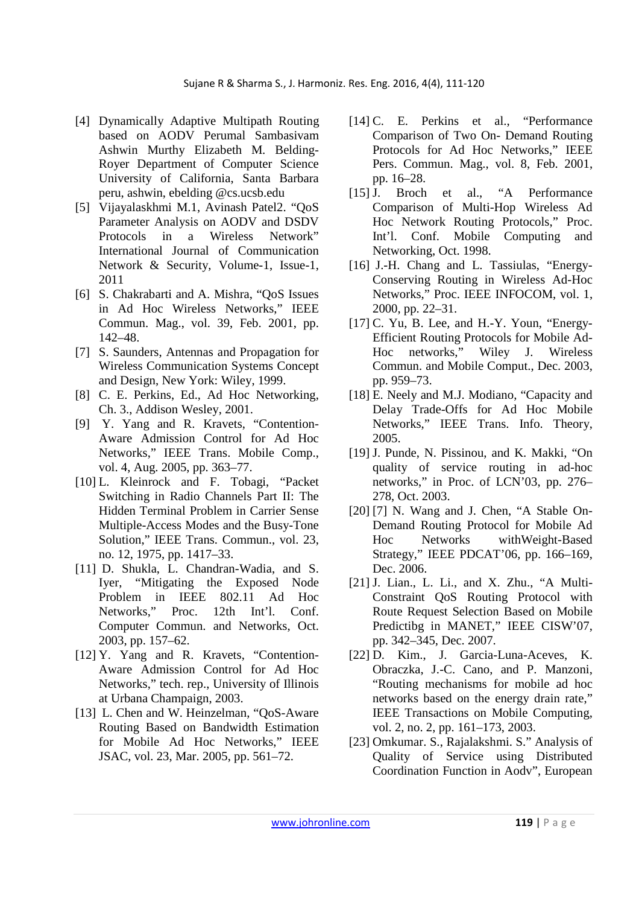- [4] Dynamically Adaptive Multipath Routing based on AODV Perumal Sambasivam Ashwin Murthy Elizabeth M. Belding-Royer Department of Computer Science University of California, Santa Barbara peru, ashwin, ebelding @cs.ucsb.edu
- [5] Vijayalaskhmi M.1, Avinash Patel2. "QoS Parameter Analysis on AODV and DSDV Protocols in a Wireless Network" International Journal of Communication Network & Security, Volume-1, Issue-1, 2011
- [6] S. Chakrabarti and A. Mishra, "QoS Issues in Ad Hoc Wireless Networks," IEEE Commun. Mag., vol. 39, Feb. 2001, pp. 142–48.
- [7] S. Saunders, Antennas and Propagation for Wireless Communication Systems Concept and Design, New York: Wiley, 1999.
- [8] C. E. Perkins, Ed., Ad Hoc Networking, Ch. 3., Addison Wesley, 2001.
- [9] Y. Yang and R. Kravets, "Contention-Aware Admission Control for Ad Hoc Networks," IEEE Trans. Mobile Comp., vol. 4, Aug. 2005, pp. 363–77.
- [10] L. Kleinrock and F. Tobagi, "Packet Switching in Radio Channels Part II: The Hidden Terminal Problem in Carrier Sense Multiple-Access Modes and the Busy-Tone Solution," IEEE Trans. Commun., vol. 23, no. 12, 1975, pp. 1417–33.
- [11] D. Shukla, L. Chandran-Wadia, and S. Iyer, "Mitigating the Exposed Node Problem in IEEE 802.11 Ad Hoc Networks," Proc. 12th Int'l. Conf. Computer Commun. and Networks, Oct. 2003, pp. 157–62.
- [12] Y. Yang and R. Kravets, "Contention-Aware Admission Control for Ad Hoc Networks," tech. rep., University of Illinois at Urbana Champaign, 2003.
- [13] L. Chen and W. Heinzelman, "QoS-Aware" Routing Based on Bandwidth Estimation for Mobile Ad Hoc Networks," IEEE JSAC, vol. 23, Mar. 2005, pp. 561–72.
- [14] C. E. Perkins et al., "Performance Comparison of Two On- Demand Routing Protocols for Ad Hoc Networks," IEEE Pers. Commun. Mag., vol. 8, Feb. 2001, pp. 16–28.
- [15] J. Broch et al., "A Performance Comparison of Multi-Hop Wireless Ad Hoc Network Routing Protocols," Proc. Int'l. Conf. Mobile Computing and Networking, Oct. 1998.
- [16] J.-H. Chang and L. Tassiulas, "Energy-Conserving Routing in Wireless Ad-Hoc Networks," Proc. IEEE INFOCOM, vol. 1, 2000, pp. 22–31.
- [17] C. Yu, B. Lee, and H.-Y. Youn, "Energy-Efficient Routing Protocols for Mobile Ad-Hoc networks," Wiley J. Wireless Commun. and Mobile Comput., Dec. 2003, pp. 959–73.
- [18] E. Neely and M.J. Modiano, "Capacity and Delay Trade-Offs for Ad Hoc Mobile Networks," IEEE Trans. Info. Theory, 2005.
- [19] J. Punde, N. Pissinou, and K. Makki, "On quality of service routing in ad-hoc networks," in Proc. of LCN'03, pp. 276– 278, Oct. 2003.
- [20] [7] N. Wang and J. Chen, "A Stable On-Demand Routing Protocol for Mobile Ad Hoc Networks withWeight-Based Strategy," IEEE PDCAT'06, pp. 166–169, Dec. 2006.
- [21] J. Lian., L. Li., and X. Zhu., "A Multi-Constraint QoS Routing Protocol with Route Request Selection Based on Mobile Predictibg in MANET," IEEE CISW'07, pp. 342–345, Dec. 2007.
- [22] D. Kim., J. Garcia-Luna-Aceves, K. Obraczka, J.-C. Cano, and P. Manzoni, "Routing mechanisms for mobile ad hoc networks based on the energy drain rate," IEEE Transactions on Mobile Computing, vol. 2, no. 2, pp. 161–173, 2003.
- [23] Omkumar. S., Rajalakshmi. S." Analysis of Quality of Service using Distributed Coordination Function in Aodv", European